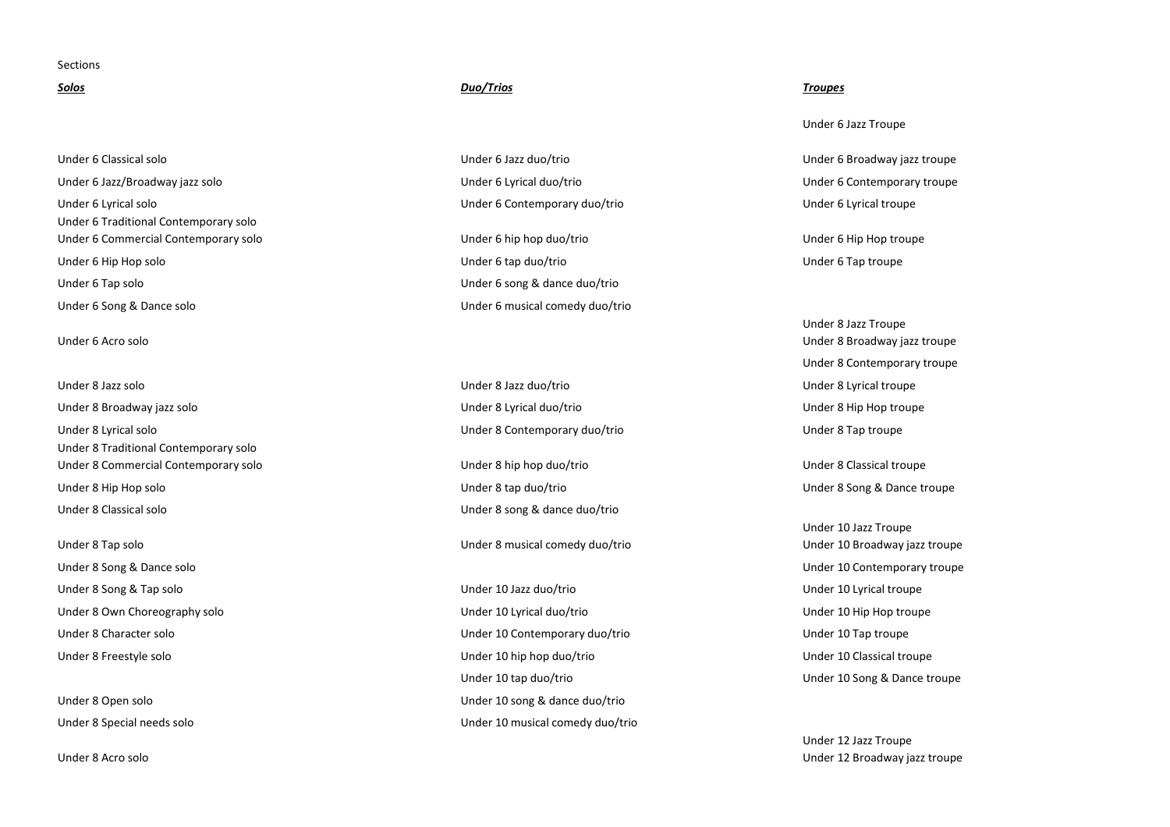## **Sections**

Under 6 Classical solo Under 6 Jazz duo/trio Under 6 Jazz/Broadway jazz solo Under 6 Lyrical duo/trio Under 6 Contemporary troupe Under 6 Lyrical solo Under 6 Contemporary duo/trio Under 6 Lyrical troupe Under 6 Traditional Contemporary solo Under 6 Commercial Contemporary solo Under 6 hip hop duo/trio Under 6 Hip Hop troupe Under 6 Hip Hop solo Under 6 tap duo/trio Under 6 Tap troupe Under 6 Tap solo Under 6 song & dance duo/trio Under 6 Song & Dance solo Under 6 musical comedy duo/trio

Under 6 Acro solo

Under 8 Broadway jazz solo Under 8 Lyrical duo/trio Under 8 Hip Hop troupe Under 8 Lyrical solo Under 8 Contemporary duo/trio Under 8 Tap troupe Under 8 Traditional Contemporary solo Under 8 Commercial Contemporary solo Under 8 hip hop duo/trio Under 8 Classical troupe Under 8 Hip Hop solo Under 8 tap duo/trio Under 8 Song & Dance troupe Under 8 Classical solo Under 8 song & dance duo/trio

Under 8 Song & Tap solo Under 10 Jazz duo/trio Under 10 Lyrical troupe

Under 8 Acro solo

# *Solos Duo/Trios Troupes*

Under 8 Tap solo Under 8 musical comedy duo/trio

Under 8 Own Choreography solo **School Choreography solo** Under 10 Lyrical duo/trio Under 10 Lyrical duo/trio Under 10 Hip Hop troupe Under 8 Character solo Under 10 Contemporary duo/trio Under 10 Tap troupe Under 8 Freestyle solo **Under 10** to Under 10 hip hop duo/trio Under 10 hip hop duo/trio Under 10 Classical troupe Under 10 tap duo/trio Under 10 Song & Dance troupe Under 8 Open solo Under 10 song & dance duo/trio Under 8 Special needs solo Under 10 musical comedy duo/trio

Under 6 Jazz Troupe

Under 6 Broadway jazz troupe

Under 8 Jazz Troupe Under 8 Broadway jazz troupe Under 8 Contemporary troupe Under 8 Jazz solo Under 8 Jazz duo/trio Under 8 Lyrical troupe

Under 10 Jazz Troupe Under 10 Broadway jazz troupe Under 8 Song & Dance solo Under 10 Contemporary troupe

> Under 12 Jazz Troupe Under 12 Broadway jazz troupe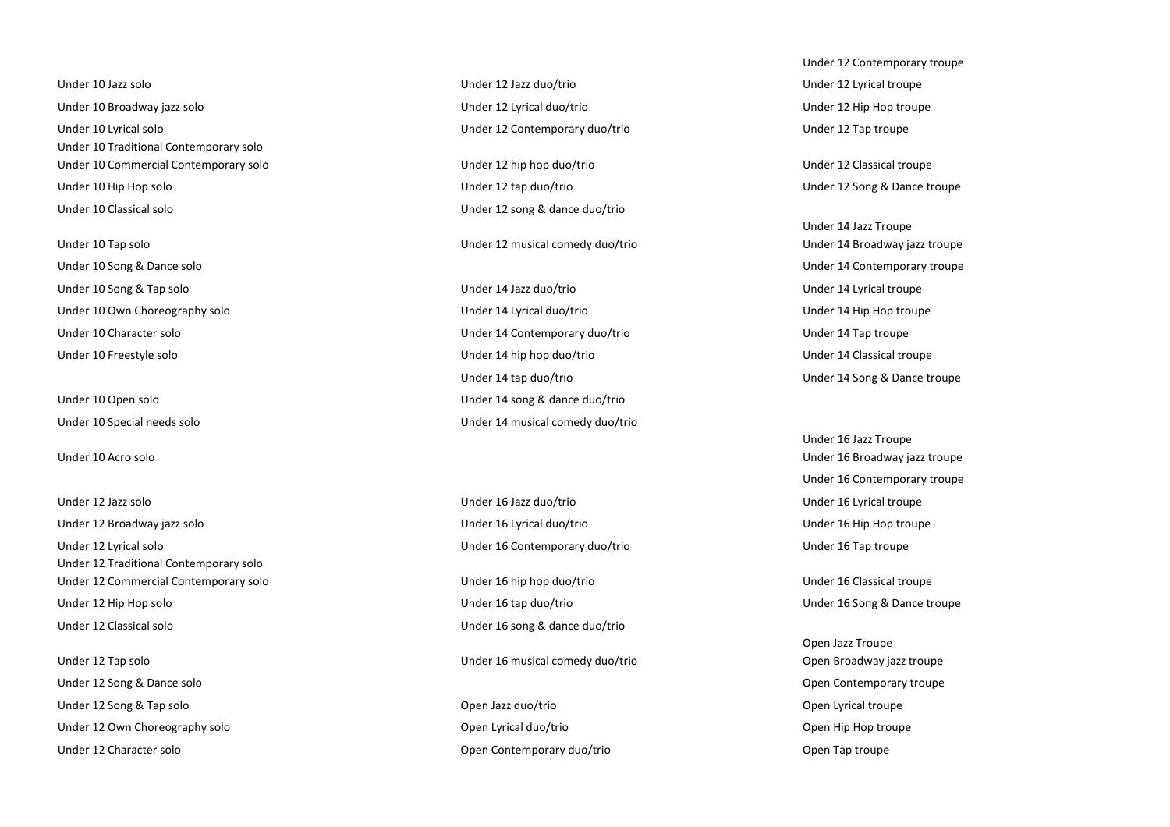Under 10 Broadway jazz solo Under 12 Lyrical duo/trio Under 12 Hip Hop troupe Under 10 Lyrical solo Under 12 Contemporary duo/trio Under 12 Tap troupe Under 10 Traditional Contemporary solo Under 10 Commercial Contemporary solo example and the Under 12 hip hop duo/trio example and the Under 12 Classical troupe Under 10 Hip Hop solo Under 12 tap duo/trio Under 12 Song & Dance troupe

Under 10 Song & Dance solo Under 14 Contemporary troupe Under 10 Song & Tap solo Under 14 Jazz duo/trio Under 14 Lyrical troupe

Under 10 Acro solo

Under 12 Broadway jazz solo Under 16 Lyrical duo/trio Under 16 Hip Hop troupe Under 12 Lyrical solo Under 16 Contemporary duo/trio Under 16 Tap troupe Under 12 Traditional Contemporary solo Under 12 Commercial Contemporary solo entries and the Under 16 hip hop duo/trio entries and the Under 16 Classical troupe Under 12 Hip Hop solo Under 16 tap duo/trio Under 16 Song & Dance troupe Under 12 Classical solo Under 16 song & dance duo/trio

Under 12 Song & Dance solo Open Contemporary troupe Under 12 Song & Tap solo Open Jazz duo/trio Open Lyrical troupe Under 12 Own Choreography solo Open Lyrical duo/trio Open Hip Hop troupe Under 12 Character solo Open Contemporary duo/trio Open Tap troupe

Under 10 Jazz solo Under 12 Jazz duo/trio Under 12 Lyrical troupe

Under 10 Classical solo Under 12 song & dance duo/trio

Under 10 Tap solo Under 12 musical comedy duo/trio

Under 10 Own Choreography solo **Under 14 Lyrical duo/trio** Under 14 Lyrical duo/trio Under 14 Hip Hop troupe Under 10 Character solo Under 14 Contemporary duo/trio Under 14 Tap troupe Under 10 Freestyle solo Under 14 hip hop duo/trio Under 14 Classical troupe Under 14 tap duo/trio Under 14 Song & Dance troupe Under 10 Open solo Under 14 song & dance duo/trio Under 10 Special needs solo Under 14 musical comedy duo/trio

Under 12 Jazz solo Under 16 Jazz duo/trio Under 16 Lyrical troupe

Under 12 Tap solo Under 16 musical comedy duo/trio

Under 12 Contemporary troupe

Under 14 Jazz Troupe Under 14 Broadway jazz troupe

Under 16 Jazz Troupe Under 16 Broadway jazz troupe Under 16 Contemporary troupe

Open Jazz Troupe Open Broadway jazz troupe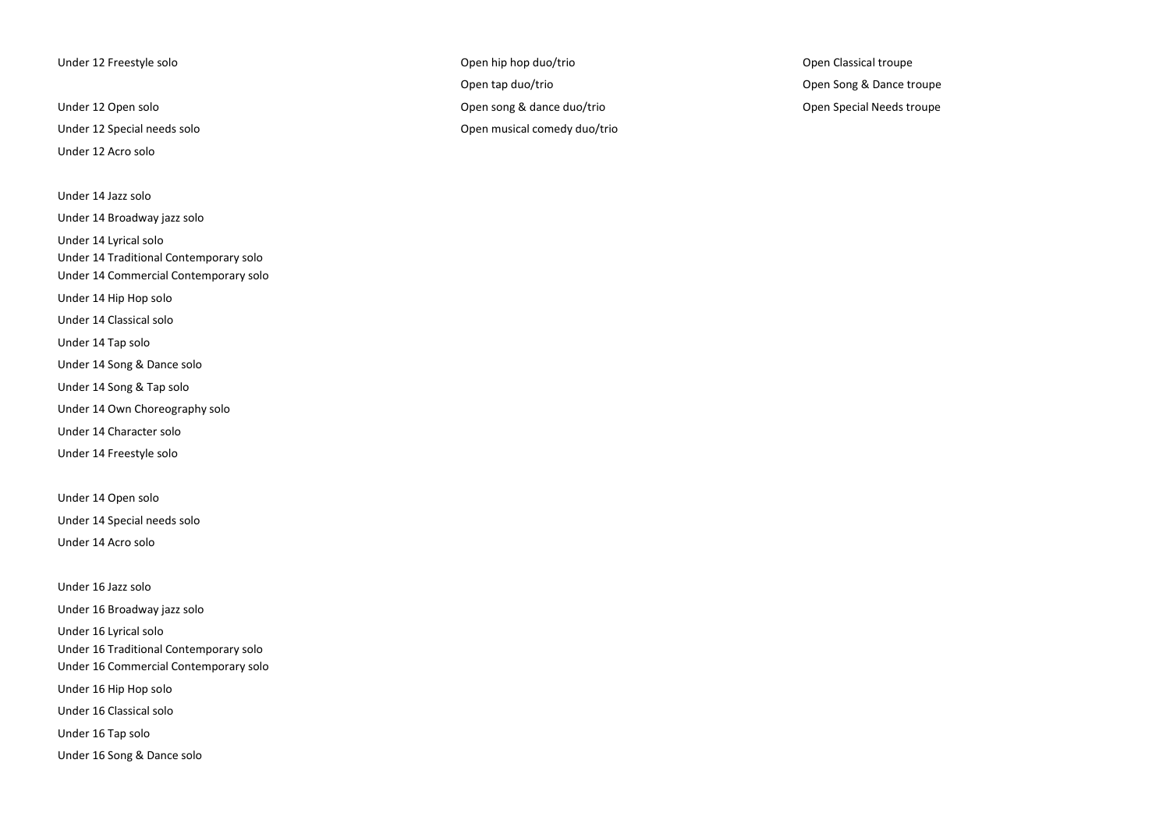Under 12 Acro solo

Under 14 Jazz solo

Under 14 Broadway jazz solo

Under 14 Lyrical solo

Under 14 Traditional Contemporary solo

Under 14 Commercial Contemporary solo

Under 14 Hip Hop solo

Under 14 Classical solo

Under 14 Tap solo

Under 14 Song & Dance solo

Under 14 Song & Tap solo

Under 14 Own Choreography solo

Under 14 Character solo

Under 14 Freestyle solo

Under 14 Open solo

Under 14 Special needs solo

Under 14 Acro solo

Under 16 Jazz solo Under 16 Broadway jazz solo Under 16 Lyrical solo Under 16 Traditional Contemporary solo Under 16 Commercial Contemporary solo

Under 16 Hip Hop solo

Under 16 Classical solo

Under 16 Tap solo

Under 16 Song & Dance solo

Under 12 Freestyle solo Open hip hop duo/trio Open Classical troupe Open tap duo/trio Open Song & Dance troupe Under 12 Open solo Open song & dance duo/trio Open Special Needs troupe Under 12 Special needs solo Open musical comedy duo/trio